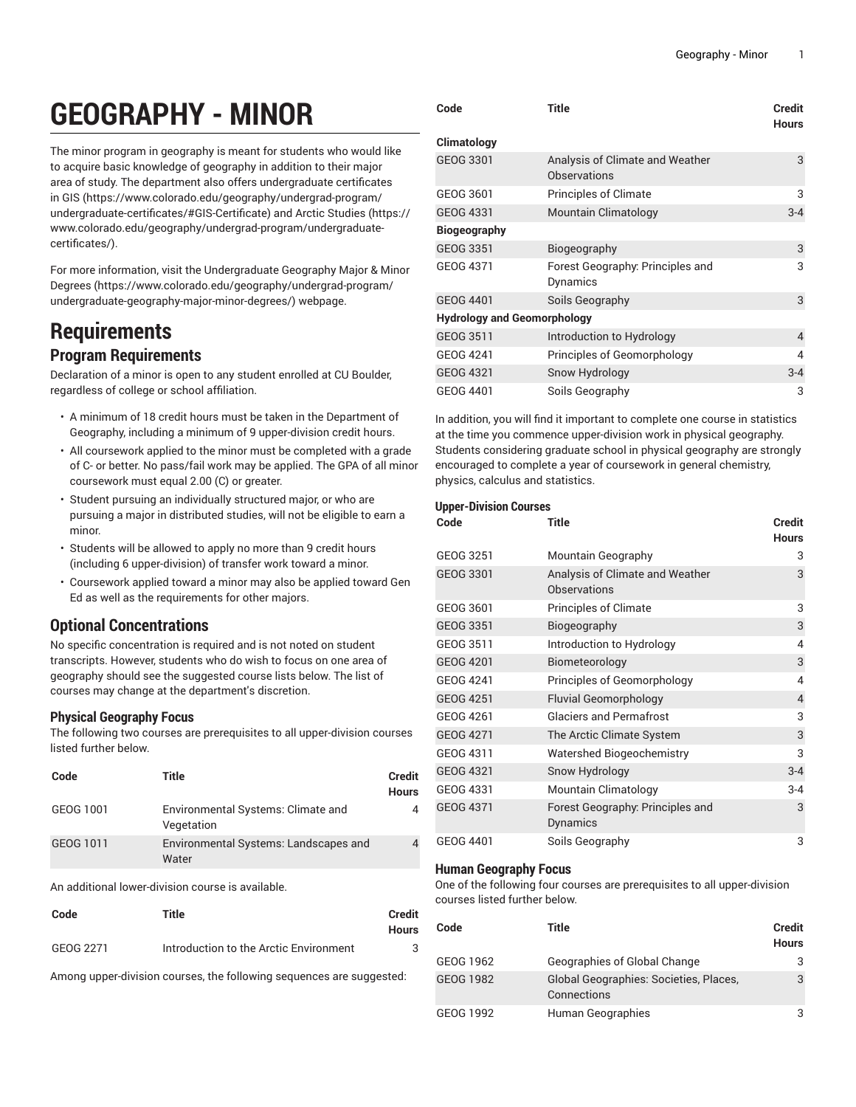# **GEOGRAPHY - MINOR**

The minor program in geography is meant for students who would like to acquire basic knowledge of geography in addition to their major area of study. The department also offers undergraduate certificates in [GIS](https://www.colorado.edu/geography/undergrad-program/undergraduate-certificates/#GIS-Certificate) ([https://www.colorado.edu/geography/undergrad-program/](https://www.colorado.edu/geography/undergrad-program/undergraduate-certificates/#GIS-Certificate) [undergraduate-certificates/#GIS-Certificate](https://www.colorado.edu/geography/undergrad-program/undergraduate-certificates/#GIS-Certificate)) and Arctic [Studies \(https://](https://www.colorado.edu/geography/undergrad-program/undergraduate-certificates/) [www.colorado.edu/geography/undergrad-program/undergraduate](https://www.colorado.edu/geography/undergrad-program/undergraduate-certificates/)[certificates/\)](https://www.colorado.edu/geography/undergrad-program/undergraduate-certificates/).

For more information, visit the [Undergraduate](https://www.colorado.edu/geography/undergrad-program/undergraduate-geography-major-minor-degrees/) Geography Major & Minor [Degrees](https://www.colorado.edu/geography/undergrad-program/undergraduate-geography-major-minor-degrees/) ([https://www.colorado.edu/geography/undergrad-program/](https://www.colorado.edu/geography/undergrad-program/undergraduate-geography-major-minor-degrees/) [undergraduate-geography-major-minor-degrees/\)](https://www.colorado.edu/geography/undergrad-program/undergraduate-geography-major-minor-degrees/) webpage.

# **Requirements**

### **Program Requirements**

Declaration of a minor is open to any student enrolled at CU Boulder, regardless of college or school affiliation.

- A minimum of 18 credit hours must be taken in the Department of Geography, including a minimum of 9 upper-division credit hours.
- All coursework applied to the minor must be completed with a grade of C- or better. No pass/fail work may be applied. The GPA of all minor coursework must equal 2.00 (C) or greater.
- Student pursuing an individually structured major, or who are pursuing a major in distributed studies, will not be eligible to earn a minor.
- Students will be allowed to apply no more than 9 credit hours (including 6 upper-division) of transfer work toward a minor.
- Coursework applied toward a minor may also be applied toward Gen Ed as well as the requirements for other majors.

## **Optional Concentrations**

No specific concentration is required and is not noted on student transcripts. However, students who do wish to focus on one area of geography should see the suggested course lists below. The list of courses may change at the department's discretion.

#### **Physical Geography Focus**

The following two courses are prerequisites to all upper-division courses listed further below.

| Code      | Title                                            | <b>Credit</b><br><b>Hours</b> |
|-----------|--------------------------------------------------|-------------------------------|
| GEOG 1001 | Environmental Systems: Climate and<br>Vegetation |                               |
| GEOG 1011 | Environmental Systems: Landscapes and<br>Water   |                               |

An additional lower-division course is available.

| Code      | Title                                  | Credit<br><b>Hours</b> |
|-----------|----------------------------------------|------------------------|
| GEOG 2271 | Introduction to the Arctic Environment |                        |

Among upper-division courses, the following sequences are suggested:

| Code                               | <b>Title</b>                                           | Credit<br><b>Hours</b> |
|------------------------------------|--------------------------------------------------------|------------------------|
| Climatology                        |                                                        |                        |
| GEOG 3301                          | Analysis of Climate and Weather<br><b>Observations</b> | 3                      |
| GEOG 3601                          | <b>Principles of Climate</b>                           | 3                      |
| GEOG 4331                          | Mountain Climatology                                   | $3 - 4$                |
| <b>Biogeography</b>                |                                                        |                        |
| GEOG 3351                          | Biogeography                                           | 3                      |
| GEOG 4371                          | Forest Geography: Principles and<br>Dynamics           | 3                      |
| GEOG 4401                          | Soils Geography                                        | 3                      |
| <b>Hydrology and Geomorphology</b> |                                                        |                        |
| GEOG 3511                          | Introduction to Hydrology                              | $\overline{4}$         |
| GEOG 4241                          | Principles of Geomorphology                            | 4                      |
| GEOG 4321                          | Snow Hydrology                                         | $3 - 4$                |
| GEOG 4401                          | Soils Geography                                        | 3                      |

In addition, you will find it important to complete one course in statistics at the time you commence upper-division work in physical geography. Students considering graduate school in physical geography are strongly encouraged to complete a year of coursework in general chemistry, physics, calculus and statistics.

#### **Upper-Division Courses**

| Code             | Title                                           | Credit<br><b>Hours</b> |
|------------------|-------------------------------------------------|------------------------|
| GEOG 3251        | Mountain Geography                              | 3                      |
| <b>GEOG 3301</b> | Analysis of Climate and Weather<br>Observations | 3                      |
| GEOG 3601        | <b>Principles of Climate</b>                    | 3                      |
| <b>GEOG 3351</b> | Biogeography                                    | $\mathbf{3}$           |
| GEOG 3511        | Introduction to Hydrology                       | 4                      |
| <b>GEOG 4201</b> | Biometeorology                                  | 3                      |
| GEOG 4241        | Principles of Geomorphology                     | 4                      |
| <b>GEOG 4251</b> | <b>Fluvial Geomorphology</b>                    | $\overline{4}$         |
| GEOG 4261        | <b>Glaciers and Permafrost</b>                  | 3                      |
| <b>GEOG 4271</b> | The Arctic Climate System                       | 3                      |
| GEOG 4311        | Watershed Biogeochemistry                       | 3                      |
| GEOG 4321        | Snow Hydrology                                  | $3 - 4$                |
| GEOG 4331        | Mountain Climatology                            | $3 - 4$                |
| <b>GEOG 4371</b> | Forest Geography: Principles and<br>Dynamics    | 3                      |
| GEOG 4401        | Soils Geography                                 | 3                      |

#### **Human Geography Focus**

One of the following four courses are prerequisites to all upper-division courses listed further below.

| Code      | Title                                                 | <b>Credit</b><br><b>Hours</b> |
|-----------|-------------------------------------------------------|-------------------------------|
| GEOG 1962 | Geographies of Global Change                          |                               |
| GEOG 1982 | Global Geographies: Societies, Places,<br>Connections | 3                             |
| GEOG 1992 | Human Geographies                                     |                               |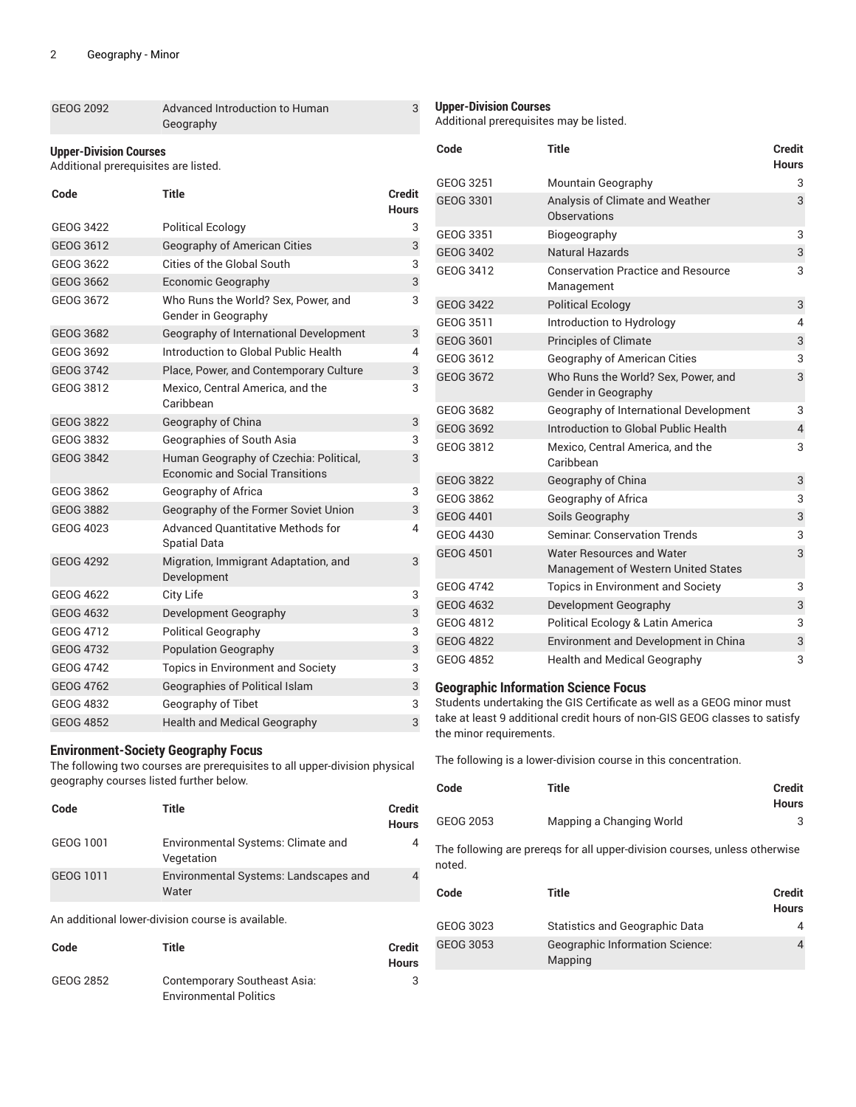| GEOG 2092 | Advanced Introduction to Human |
|-----------|--------------------------------|
|           | Geography                      |

#### **Upper-Division Courses**

Additional prerequisites are listed.

| Code             | <b>Title</b>                                                                     | <b>Credit</b><br><b>Hours</b> |
|------------------|----------------------------------------------------------------------------------|-------------------------------|
| GEOG 3422        | <b>Political Ecology</b>                                                         | 3                             |
| GEOG 3612        | <b>Geography of American Cities</b>                                              | 3                             |
| GEOG 3622        | Cities of the Global South                                                       | 3                             |
| GEOG 3662        | Economic Geography                                                               | 3                             |
| GEOG 3672        | Who Runs the World? Sex, Power, and<br>Gender in Geography                       | 3                             |
| <b>GEOG 3682</b> | Geography of International Development                                           | 3                             |
| GEOG 3692        | Introduction to Global Public Health                                             | 4                             |
| <b>GEOG 3742</b> | Place, Power, and Contemporary Culture                                           | 3                             |
| GEOG 3812        | Mexico, Central America, and the<br>Caribbean                                    | 3                             |
| <b>GEOG 3822</b> | Geography of China                                                               | 3                             |
| GEOG 3832        | Geographies of South Asia                                                        | 3                             |
| GEOG 3842        | Human Geography of Czechia: Political,<br><b>Economic and Social Transitions</b> | 3                             |
| GEOG 3862        | Geography of Africa                                                              | 3                             |
| <b>GEOG 3882</b> | Geography of the Former Soviet Union                                             | 3                             |
| GEOG 4023        | <b>Advanced Quantitative Methods for</b><br><b>Spatial Data</b>                  | 4                             |
| <b>GEOG 4292</b> | Migration, Immigrant Adaptation, and<br>Development                              | 3                             |
| <b>GEOG 4622</b> | City Life                                                                        | 3                             |
| GEOG 4632        | Development Geography                                                            | 3                             |
| GEOG 4712        | <b>Political Geography</b>                                                       | 3                             |
| <b>GEOG 4732</b> | <b>Population Geography</b>                                                      | 3                             |
| <b>GEOG 4742</b> | <b>Topics in Environment and Society</b>                                         | 3                             |
| <b>GEOG 4762</b> | Geographies of Political Islam                                                   | 3                             |
| GEOG 4832        | Geography of Tibet                                                               | 3                             |
| <b>GEOG 4852</b> | <b>Health and Medical Geography</b>                                              | 3                             |

#### **Environment-Society Geography Focus**

The following two courses are prerequisites to all upper-division physical geography courses listed further below.

| Code      | Title                                            | <b>Credit</b><br><b>Hours</b> |
|-----------|--------------------------------------------------|-------------------------------|
| GEOG 1001 | Environmental Systems: Climate and<br>Vegetation | 4                             |
| GEOG 1011 | Environmental Systems: Landscapes and<br>Water   |                               |

An additional lower-division course is available.

| Code      | Title                         | Credit       |
|-----------|-------------------------------|--------------|
|           |                               | <b>Hours</b> |
| GEOG 2852 | Contemporary Southeast Asia:  | 3            |
|           | <b>Environmental Politics</b> |              |

#### **Upper-Division Courses**

3

Additional prerequisites may be listed.

| Code             | <b>Title</b>                                                     | <b>Credit</b><br><b>Hours</b> |
|------------------|------------------------------------------------------------------|-------------------------------|
| GEOG 3251        | Mountain Geography                                               | 3                             |
| GEOG 3301        | Analysis of Climate and Weather<br>Observations                  | 3                             |
| GEOG 3351        | Biogeography                                                     | 3                             |
| <b>GEOG 3402</b> | <b>Natural Hazards</b>                                           | 3                             |
| GEOG 3412        | <b>Conservation Practice and Resource</b><br>Management          | 3                             |
| <b>GEOG 3422</b> | <b>Political Ecology</b>                                         | 3                             |
| GEOG 3511        | Introduction to Hydrology                                        | 4                             |
| GEOG 3601        | <b>Principles of Climate</b>                                     | 3                             |
| GEOG 3612        | Geography of American Cities                                     | 3                             |
| GEOG 3672        | Who Runs the World? Sex, Power, and<br>Gender in Geography       | 3                             |
| GEOG 3682        | Geography of International Development                           | 3                             |
| GEOG 3692        | Introduction to Global Public Health                             | $\overline{4}$                |
| GEOG 3812        | Mexico, Central America, and the<br>Caribbean                    | 3                             |
| <b>GEOG 3822</b> | Geography of China                                               | 3                             |
| GEOG 3862        | Geography of Africa                                              | 3                             |
| <b>GEOG 4401</b> | Soils Geography                                                  | 3                             |
| GEOG 4430        | Seminar, Conservation Trends                                     | 3                             |
| <b>GEOG 4501</b> | Water Resources and Water<br>Management of Western United States | 3                             |
| <b>GEOG 4742</b> | <b>Topics in Environment and Society</b>                         | 3                             |
| <b>GEOG 4632</b> | Development Geography                                            | 3                             |
| GEOG 4812        | Political Ecology & Latin America                                | 3                             |
| <b>GEOG 4822</b> | Environment and Development in China                             | 3                             |
| <b>GEOG 4852</b> | <b>Health and Medical Geography</b>                              | 3                             |

#### **Geographic Information Science Focus**

Students undertaking the GIS Certificate as well as a GEOG minor must take at least 9 additional credit hours of non-GIS GEOG classes to satisfy the minor requirements.

The following is a lower-division course in this concentration.

| Code      | Title                    | <b>Credit</b><br>Hours |
|-----------|--------------------------|------------------------|
| GEOG 2053 | Mapping a Changing World |                        |

The following are prereqs for all upper-division courses, unless otherwise noted.

| Code      | Title                                             | <b>Credit</b><br><b>Hours</b> |
|-----------|---------------------------------------------------|-------------------------------|
| GEOG 3023 | <b>Statistics and Geographic Data</b>             | 4                             |
| GEOG 3053 | <b>Geographic Information Science:</b><br>Mapping | 4                             |